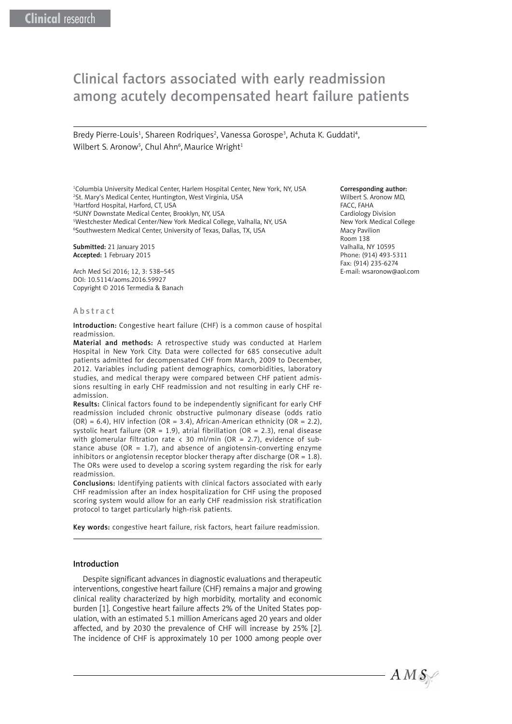# Clinical factors associated with early readmission among acutely decompensated heart failure patients

Bredy Pierre-Louis<sup>1</sup>, Shareen Rodriques<sup>2</sup>, Vanessa Gorospe<sup>3</sup>, Achuta K. Guddati<sup>4</sup>, Wilbert S. Aronow<sup>5</sup>, Chul Ahn<sup>6</sup>, Maurice Wright<sup>1</sup>

 Columbia University Medical Center, Harlem Hospital Center, New York, NY, USA St. Mary's Medical Center, Huntington, West Virginia, USA Hartford Hospital, Harford, CT, USA SUNY Downstate Medical Center, Brooklyn, NY, USA Westchester Medical Center/New York Medical College, Valhalla, NY, USA Southwestern Medical Center, University of Texas, Dallas, TX, USA

Submitted: 21 January 2015 Accepted: 1 February 2015

Arch Med Sci 2016; 12, 3: 538–545 DOI: 10.5114/aoms.2016.59927 Copyright © 2016 Termedia & Banach Corresponding author:

Wilbert S. Aronow MD, FACC, FAHA Cardiology Division New York Medical College Macy Pavilion Room 138 Valhalla, NY 10595 Phone: (914) 493-5311 Fax: (914) 235-6274 E-mail: wsaronow@aol.com

#### Abstract

Introduction: Congestive heart failure (CHF) is a common cause of hospital readmission.

Material and methods: A retrospective study was conducted at Harlem Hospital in New York City. Data were collected for 685 consecutive adult patients admitted for decompensated CHF from March, 2009 to December, 2012. Variables including patient demographics, comorbidities, laboratory studies, and medical therapy were compared between CHF patient admissions resulting in early CHF readmission and not resulting in early CHF readmission.

Results: Clinical factors found to be independently significant for early CHF readmission included chronic obstructive pulmonary disease (odds ratio  $(OR) = 6.4$ ), HIV infection (OR = 3.4), African-American ethnicity (OR = 2.2), systolic heart failure (OR = 1.9), atrial fibrillation (OR = 2.3), renal disease with glomerular filtration rate  $\langle$  30 ml/min (OR = 2.7), evidence of substance abuse (OR = 1.7), and absence of angiotensin-converting enzyme inhibitors or angiotensin receptor blocker therapy after discharge ( $OR = 1.8$ ). The ORs were used to develop a scoring system regarding the risk for early readmission.

Conclusions: Identifying patients with clinical factors associated with early CHF readmission after an index hospitalization for CHF using the proposed scoring system would allow for an early CHF readmission risk stratification protocol to target particularly high-risk patients.

Key words: congestive heart failure, risk factors, heart failure readmission.

#### Introduction

Despite significant advances in diagnostic evaluations and therapeutic interventions, congestive heart failure (CHF) remains a major and growing clinical reality characterized by high morbidity, mortality and economic burden [1]. Congestive heart failure affects 2% of the United States population, with an estimated 5.1 million Americans aged 20 years and older affected, and by 2030 the prevalence of CHF will increase by 25% [2]. The incidence of CHF is approximately 10 per 1000 among people over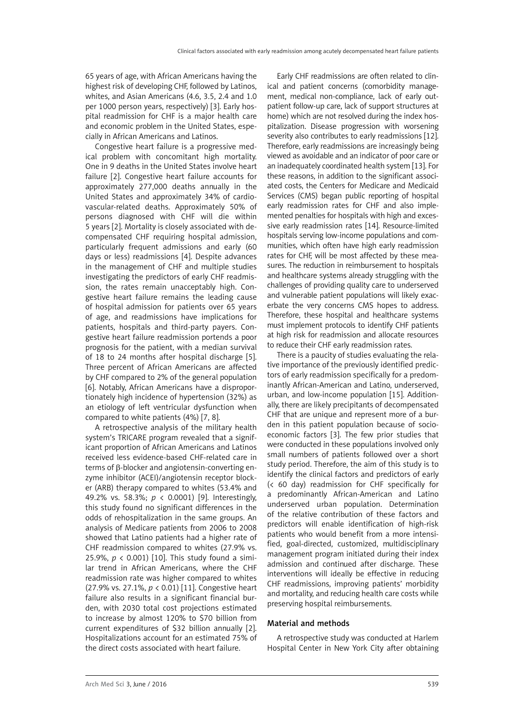65 years of age, with African Americans having the highest risk of developing CHF, followed by Latinos, whites, and Asian Americans (4.6, 3.5, 2.4 and 1.0 per 1000 person years, respectively) [3]. Early hospital readmission for CHF is a major health care and economic problem in the United States, especially in African Americans and Latinos.

Congestive heart failure is a progressive medical problem with concomitant high mortality. One in 9 deaths in the United States involve heart failure [2]. Congestive heart failure accounts for approximately 277,000 deaths annually in the United States and approximately 34% of cardiovascular-related deaths. Approximately 50% of persons diagnosed with CHF will die within 5 years [2]. Mortality is closely associated with decompensated CHF requiring hospital admission, particularly frequent admissions and early (60 days or less) readmissions [4]. Despite advances in the management of CHF and multiple studies investigating the predictors of early CHF readmission, the rates remain unacceptably high. Congestive heart failure remains the leading cause of hospital admission for patients over 65 years of age, and readmissions have implications for patients, hospitals and third-party payers. Congestive heart failure readmission portends a poor prognosis for the patient, with a median survival of 18 to 24 months after hospital discharge [5]. Three percent of African Americans are affected by CHF compared to 2% of the general population [6]. Notably, African Americans have a disproportionately high incidence of hypertension (32%) as an etiology of left ventricular dysfunction when compared to white patients (4%) [7, 8].

A retrospective analysis of the military health system's TRICARE program revealed that a significant proportion of African Americans and Latinos received less evidence-based CHF-related care in terms of β-blocker and angiotensin-converting enzyme inhibitor (ACEI)/angiotensin receptor blocker (ARB) therapy compared to whites (53.4% and 49.2% vs. 58.3%; *p* < 0.0001) [9]. Interestingly, this study found no significant differences in the odds of rehospitalization in the same groups. An analysis of Medicare patients from 2006 to 2008 showed that Latino patients had a higher rate of CHF readmission compared to whites (27.9% vs. 25.9%, *p* < 0.001) [10]. This study found a similar trend in African Americans, where the CHF readmission rate was higher compared to whites (27.9% vs. 27.1%, *p* < 0.01) [11]. Congestive heart failure also results in a significant financial burden, with 2030 total cost projections estimated to increase by almost 120% to \$70 billion from current expenditures of \$32 billion annually [2]. Hospitalizations account for an estimated 75% of the direct costs associated with heart failure.

Early CHF readmissions are often related to clinical and patient concerns (comorbidity management, medical non-compliance, lack of early outpatient follow-up care, lack of support structures at home) which are not resolved during the index hospitalization. Disease progression with worsening severity also contributes to early readmissions [12]. Therefore, early readmissions are increasingly being viewed as avoidable and an indicator of poor care or an inadequately coordinated health system [13]. For these reasons, in addition to the significant associated costs, the Centers for Medicare and Medicaid Services (CMS) began public reporting of hospital early readmission rates for CHF and also implemented penalties for hospitals with high and excessive early readmission rates [14]. Resource-limited hospitals serving low-income populations and communities, which often have high early readmission rates for CHF, will be most affected by these measures. The reduction in reimbursement to hospitals and healthcare systems already struggling with the challenges of providing quality care to underserved and vulnerable patient populations will likely exacerbate the very concerns CMS hopes to address. Therefore, these hospital and healthcare systems must implement protocols to identify CHF patients at high risk for readmission and allocate resources to reduce their CHF early readmission rates.

There is a paucity of studies evaluating the relative importance of the previously identified predictors of early readmission specifically for a predominantly African-American and Latino, underserved, urban, and low-income population [15]. Additionally, there are likely precipitants of decompensated CHF that are unique and represent more of a burden in this patient population because of socioeconomic factors [3]. The few prior studies that were conducted in these populations involved only small numbers of patients followed over a short study period. Therefore, the aim of this study is to identify the clinical factors and predictors of early (< 60 day) readmission for CHF specifically for a predominantly African-American and Latino underserved urban population. Determination of the relative contribution of these factors and predictors will enable identification of high-risk patients who would benefit from a more intensified, goal-directed, customized, multidisciplinary management program initiated during their index admission and continued after discharge. These interventions will ideally be effective in reducing CHF readmissions, improving patients' morbidity and mortality, and reducing health care costs while preserving hospital reimbursements.

## Material and methods

A retrospective study was conducted at Harlem Hospital Center in New York City after obtaining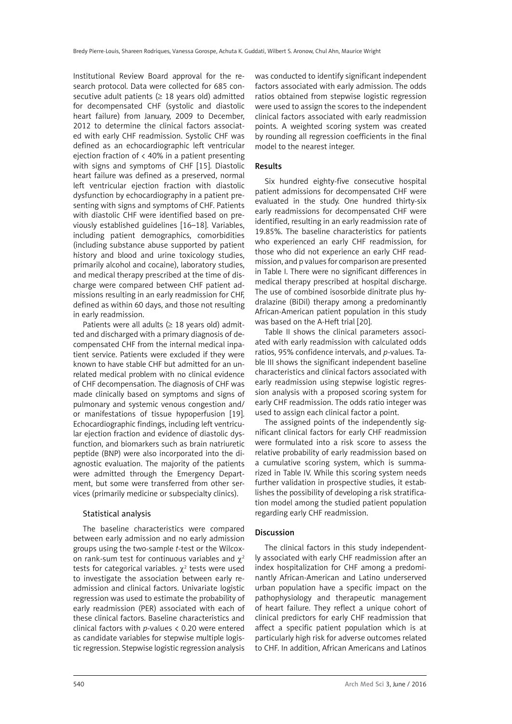Institutional Review Board approval for the research protocol. Data were collected for 685 consecutive adult patients ( $\geq$  18 years old) admitted for decompensated CHF (systolic and diastolic heart failure) from January, 2009 to December, 2012 to determine the clinical factors associated with early CHF readmission. Systolic CHF was defined as an echocardiographic left ventricular ejection fraction of < 40% in a patient presenting with signs and symptoms of CHF [15]. Diastolic heart failure was defined as a preserved, normal left ventricular ejection fraction with diastolic dysfunction by echocardiography in a patient presenting with signs and symptoms of CHF. Patients with diastolic CHF were identified based on previously established guidelines [16–18]. Variables, including patient demographics, comorbidities (including substance abuse supported by patient history and blood and urine toxicology studies, primarily alcohol and cocaine), laboratory studies, and medical therapy prescribed at the time of discharge were compared between CHF patient admissions resulting in an early readmission for CHF, defined as within 60 days, and those not resulting in early readmission.

Patients were all adults ( $\geq$  18 years old) admitted and discharged with a primary diagnosis of decompensated CHF from the internal medical inpatient service. Patients were excluded if they were known to have stable CHF but admitted for an unrelated medical problem with no clinical evidence of CHF decompensation. The diagnosis of CHF was made clinically based on symptoms and signs of pulmonary and systemic venous congestion and/ or manifestations of tissue hypoperfusion [19]. Echocardiographic findings, including left ventricular ejection fraction and evidence of diastolic dysfunction, and biomarkers such as brain natriuretic peptide (BNP) were also incorporated into the diagnostic evaluation. The majority of the patients were admitted through the Emergency Department, but some were transferred from other services (primarily medicine or subspecialty clinics).

## Statistical analysis

The baseline characteristics were compared between early admission and no early admission groups using the two-sample *t*-test or the Wilcoxon rank-sum test for continuous variables and  $\chi^2$ tests for categorical variables.  $\chi^2$  tests were used to investigate the association between early readmission and clinical factors. Univariate logistic regression was used to estimate the probability of early readmission (PER) associated with each of these clinical factors. Baseline characteristics and clinical factors with *p*-values < 0.20 were entered as candidate variables for stepwise multiple logistic regression. Stepwise logistic regression analysis

was conducted to identify significant independent factors associated with early admission. The odds ratios obtained from stepwise logistic regression were used to assign the scores to the independent clinical factors associated with early readmission points. A weighted scoring system was created by rounding all regression coefficients in the final model to the nearest integer.

#### Results

Six hundred eighty-five consecutive hospital patient admissions for decompensated CHF were evaluated in the study. One hundred thirty-six early readmissions for decompensated CHF were identified, resulting in an early readmission rate of 19.85%. The baseline characteristics for patients who experienced an early CHF readmission, for those who did not experience an early CHF readmission, and p values for comparison are presented in Table I. There were no significant differences in medical therapy prescribed at hospital discharge. The use of combined isosorbide dinitrate plus hydralazine (BiDil) therapy among a predominantly African-American patient population in this study was based on the A-Heft trial [20].

Table II shows the clinical parameters associated with early readmission with calculated odds ratios, 95% confidence intervals, and *p*-values. Table III shows the significant independent baseline characteristics and clinical factors associated with early readmission using stepwise logistic regression analysis with a proposed scoring system for early CHF readmission. The odds ratio integer was used to assign each clinical factor a point.

The assigned points of the independently significant clinical factors for early CHF readmission were formulated into a risk score to assess the relative probability of early readmission based on a cumulative scoring system, which is summarized in Table IV. While this scoring system needs further validation in prospective studies, it establishes the possibility of developing a risk stratification model among the studied patient population regarding early CHF readmission.

## Discussion

The clinical factors in this study independently associated with early CHF readmission after an index hospitalization for CHF among a predominantly African-American and Latino underserved urban population have a specific impact on the pathophysiology and therapeutic management of heart failure. They reflect a unique cohort of clinical predictors for early CHF readmission that affect a specific patient population which is at particularly high risk for adverse outcomes related to CHF. In addition, African Americans and Latinos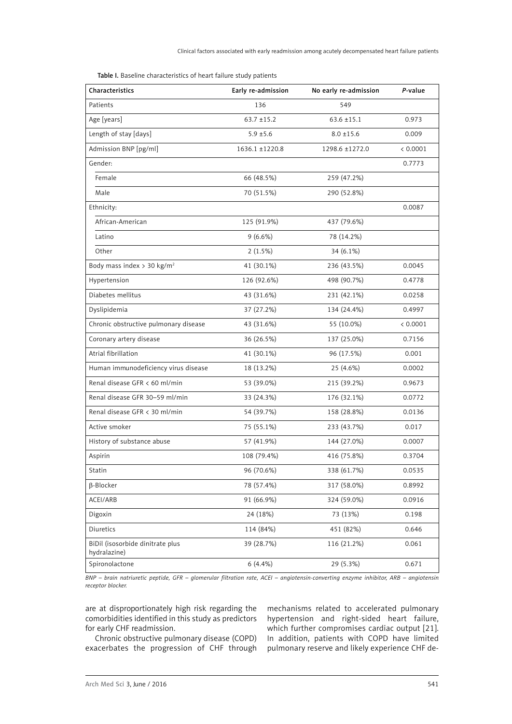Table I. Baseline characteristics of heart failure study patients

| Characteristics                                  | Early re-admission | No early re-admission | P-value  |
|--------------------------------------------------|--------------------|-----------------------|----------|
| Patients                                         | 136                | 549                   |          |
| Age [years]                                      | $63.7 \pm 15.2$    | $63.6 \pm 15.1$       | 0.973    |
| Length of stay [days]                            | $5.9 \pm 5.6$      | $8.0 \pm 15.6$        | 0.009    |
| Admission BNP [pg/ml]                            | 1636.1 ±1220.8     | 1298.6 ±1272.0        | < 0.0001 |
| Gender:                                          |                    |                       | 0.7773   |
| Female                                           | 66 (48.5%)         | 259 (47.2%)           |          |
| Male                                             | 70 (51.5%)         | 290 (52.8%)           |          |
| Ethnicity:                                       |                    |                       | 0.0087   |
| African-American                                 | 125 (91.9%)        | 437 (79.6%)           |          |
| Latino                                           | 9(6.6%)            | 78 (14.2%)            |          |
| Other                                            | 2(1.5%)            | 34 (6.1%)             |          |
| Body mass index $> 30$ kg/m <sup>2</sup>         | 41 (30.1%)         | 236 (43.5%)           | 0.0045   |
| Hypertension                                     | 126 (92.6%)        | 498 (90.7%)           | 0.4778   |
| Diabetes mellitus                                | 43 (31.6%)         | 231 (42.1%)           | 0.0258   |
| Dyslipidemia                                     | 37 (27.2%)         | 134 (24.4%)           | 0.4997   |
| Chronic obstructive pulmonary disease            | 43 (31.6%)         | 55 (10.0%)            | < 0.0001 |
| Coronary artery disease                          | 36 (26.5%)         | 137 (25.0%)           | 0.7156   |
| Atrial fibrillation                              | 41 (30.1%)         | 96 (17.5%)            | 0.001    |
| Human immunodeficiency virus disease             | 18 (13.2%)         | 25 (4.6%)             | 0.0002   |
| Renal disease GFR < 60 ml/min                    | 53 (39.0%)         | 215 (39.2%)           | 0.9673   |
| Renal disease GFR 30-59 ml/min                   | 33 (24.3%)         | 176 (32.1%)           | 0.0772   |
| Renal disease GFR < 30 ml/min                    | 54 (39.7%)         | 158 (28.8%)           | 0.0136   |
| Active smoker                                    | 75 (55.1%)         | 233 (43.7%)           | 0.017    |
| History of substance abuse                       | 57 (41.9%)         | 144 (27.0%)           | 0.0007   |
| Aspirin                                          | 108 (79.4%)        | 416 (75.8%)           | 0.3704   |
| Statin                                           | 96 (70.6%)         | 338 (61.7%)           | 0.0535   |
| $\beta$ -Blocker                                 | 78 (57.4%)         | 317 (58.0%)           | 0.8992   |
| ACEI/ARB                                         | 91 (66.9%)         | 324 (59.0%)           | 0.0916   |
| Digoxin                                          | 24 (18%)           | 73 (13%)              | 0.198    |
| Diuretics                                        | 114 (84%)          | 451 (82%)             | 0.646    |
| BiDil (isosorbide dinitrate plus<br>hydralazine) | 39 (28.7%)         | 116 (21.2%)           | 0.061    |
| Spironolactone                                   | $6(4.4\%)$         | 29 (5.3%)             | 0.671    |

*BNP – brain natriuretic peptide, GFR – glomerular filtration rate, ACEI – angiotensin-converting enzyme inhibitor, ARB – angiotensin receptor blocker.*

are at disproportionately high risk regarding the comorbidities identified in this study as predictors for early CHF readmission.

Chronic obstructive pulmonary disease (COPD) exacerbates the progression of CHF through mechanisms related to accelerated pulmonary hypertension and right-sided heart failure, which further compromises cardiac output [21]. In addition, patients with COPD have limited pulmonary reserve and likely experience CHF de-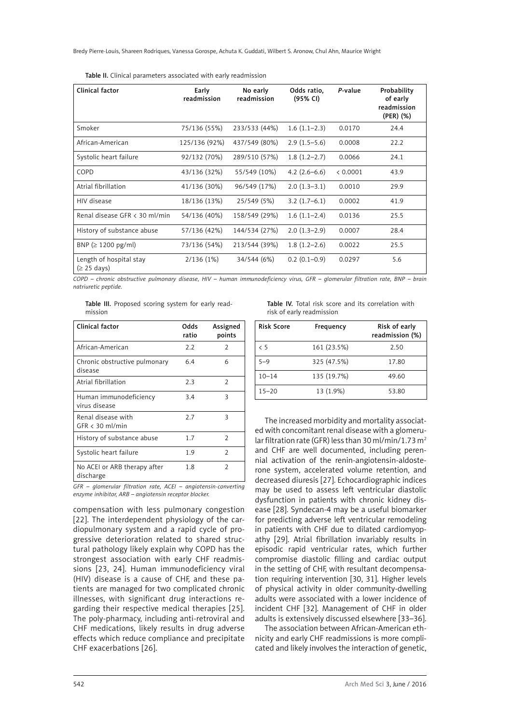| Clinical factor                        | Early<br>readmission | No early<br>readmission | Odds ratio,<br>(95% CI) | P-value  | Probability<br>of early<br>readmission<br>(PER) (%) |
|----------------------------------------|----------------------|-------------------------|-------------------------|----------|-----------------------------------------------------|
| Smoker                                 | 75/136 (55%)         | 233/533 (44%)           | $1.6(1.1-2.3)$          | 0.0170   | 24.4                                                |
| African-American                       | 125/136 (92%)        | 437/549 (80%)           | $2.9(1.5-5.6)$          | 0.0008   | 22.2                                                |
| Systolic heart failure                 | 92/132 (70%)         | 289/510 (57%)           | $1.8(1.2-2.7)$          | 0.0066   | 24.1                                                |
| COPD                                   | 43/136 (32%)         | 55/549 (10%)            | $4.2(2.6-6.6)$          | < 0.0001 | 43.9                                                |
| Atrial fibrillation                    | 41/136 (30%)         | 96/549 (17%)            | $2.0(1.3-3.1)$          | 0.0010   | 29.9                                                |
| HIV disease                            | 18/136 (13%)         | 25/549 (5%)             | $3.2(1.7-6.1)$          | 0.0002   | 41.9                                                |
| Renal disease GFR < 30 ml/min          | 54/136 (40%)         | 158/549 (29%)           | $1.6(1.1-2.4)$          | 0.0136   | 25.5                                                |
| History of substance abuse             | 57/136 (42%)         | 144/534 (27%)           | $2.0(1.3-2.9)$          | 0.0007   | 28.4                                                |
| BNP ( $\geq$ 1200 pg/ml)               | 73/136 (54%)         | 213/544 (39%)           | $1.8(1.2-2.6)$          | 0.0022   | 25.5                                                |
| Length of hospital stay<br>(≥ 25 days) | 2/136(1%)            | 34/544 (6%)             | $0.2(0.1-0.9)$          | 0.0297   | 5.6                                                 |

Table II. Clinical parameters associated with early readmission

*COPD – chronic obstructive pulmonary disease, HIV – human immunodeficiency virus, GFR – glomerular filtration rate, BNP – brain natriuretic peptide.*

Table III. Proposed scoring system for early readmission

|                           |  |  | <b>Table IV.</b> Total risk score and its correlation with |  |
|---------------------------|--|--|------------------------------------------------------------|--|
| risk of early readmission |  |  |                                                            |  |

| Clinical factor                           | Odds<br>ratio | Assigned<br>points |
|-------------------------------------------|---------------|--------------------|
| African-American                          | 2.2           | $\overline{2}$     |
| Chronic obstructive pulmonary<br>disease  | 6.4           | 6                  |
| Atrial fibrillation                       | 2.3           | $\mathcal{P}$      |
| Human immunodeficiency<br>virus disease   | 3.4           | 3                  |
| Renal disease with<br>$GFR < 30$ ml/min   | 2.7           | ξ                  |
| History of substance abuse                | 1.7           | $\mathcal{P}$      |
| Systolic heart failure                    | 1.9           | $\mathcal{P}$      |
| No ACEI or ARB therapy after<br>discharge | 1.8           | $\overline{2}$     |

*GFR – glomerular filtration rate, ACEI – angiotensin-converting enzyme inhibitor, ARB – angiotensin receptor blocker.*

compensation with less pulmonary congestion [22]. The interdependent physiology of the cardiopulmonary system and a rapid cycle of progressive deterioration related to shared structural pathology likely explain why COPD has the strongest association with early CHF readmissions [23, 24]. Human immunodeficiency viral (HIV) disease is a cause of CHF, and these patients are managed for two complicated chronic illnesses, with significant drug interactions regarding their respective medical therapies [25]. The poly-pharmacy, including anti-retroviral and CHF medications, likely results in drug adverse effects which reduce compliance and precipitate CHF exacerbations [26].

| <b>Risk Score</b> | Frequency   | Risk of early<br>readmission (%) |  |  |  |
|-------------------|-------------|----------------------------------|--|--|--|
| $\langle 5$       | 161 (23.5%) | 2.50                             |  |  |  |
| $5 - 9$           | 325 (47.5%) | 17.80                            |  |  |  |
| $10 - 14$         | 135 (19.7%) | 49.60                            |  |  |  |
| $15 - 20$         | 13 (1.9%)   | 53.80                            |  |  |  |

The increased morbidity and mortality associated with concomitant renal disease with a glomerular filtration rate (GFR) less than 30 ml/min/1.73 m<sup>2</sup> and CHF are well documented, including perennial activation of the renin-angiotensin-aldosterone system, accelerated volume retention, and decreased diuresis [27]. Echocardiographic indices may be used to assess left ventricular diastolic dysfunction in patients with chronic kidney disease [28]. Syndecan-4 may be a useful biomarker for predicting adverse left ventricular remodeling in patients with CHF due to dilated cardiomyopathy [29]. Atrial fibrillation invariably results in episodic rapid ventricular rates, which further compromise diastolic filling and cardiac output in the setting of CHF, with resultant decompensation requiring intervention [30, 31]. Higher levels of physical activity in older community-dwelling adults were associated with a lower incidence of incident CHF [32]. Management of CHF in older adults is extensively discussed elsewhere [33–36].

The association between African-American ethnicity and early CHF readmissions is more complicated and likely involves the interaction of genetic,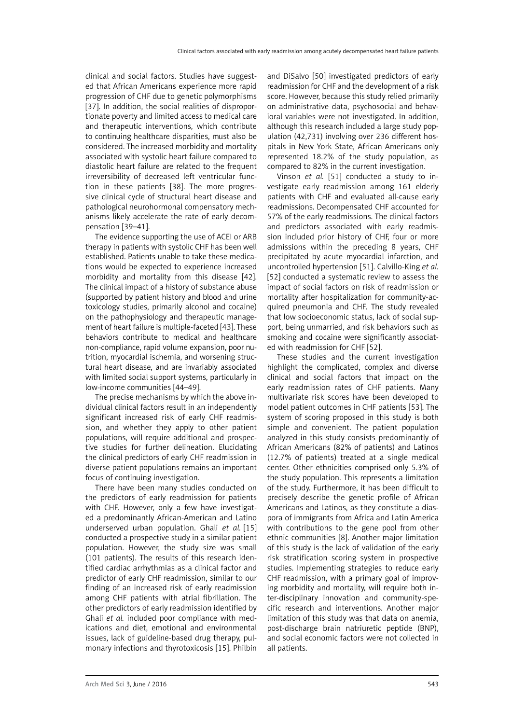clinical and social factors. Studies have suggested that African Americans experience more rapid progression of CHF due to genetic polymorphisms [37]. In addition, the social realities of disproportionate poverty and limited access to medical care and therapeutic interventions, which contribute to continuing healthcare disparities, must also be considered. The increased morbidity and mortality associated with systolic heart failure compared to diastolic heart failure are related to the frequent irreversibility of decreased left ventricular function in these patients [38]. The more progressive clinical cycle of structural heart disease and pathological neurohormonal compensatory mechanisms likely accelerate the rate of early decompensation [39–41].

The evidence supporting the use of ACEI or ARB therapy in patients with systolic CHF has been well established. Patients unable to take these medications would be expected to experience increased morbidity and mortality from this disease [42]. The clinical impact of a history of substance abuse (supported by patient history and blood and urine toxicology studies, primarily alcohol and cocaine) on the pathophysiology and therapeutic management of heart failure is multiple-faceted [43]. These behaviors contribute to medical and healthcare non-compliance, rapid volume expansion, poor nutrition, myocardial ischemia, and worsening structural heart disease, and are invariably associated with limited social support systems, particularly in low-income communities [44–49].

The precise mechanisms by which the above individual clinical factors result in an independently significant increased risk of early CHF readmission, and whether they apply to other patient populations, will require additional and prospective studies for further delineation. Elucidating the clinical predictors of early CHF readmission in diverse patient populations remains an important focus of continuing investigation.

There have been many studies conducted on the predictors of early readmission for patients with CHF. However, only a few have investigated a predominantly African-American and Latino underserved urban population. Ghali *et al.* [15] conducted a prospective study in a similar patient population. However, the study size was small (101 patients). The results of this research identified cardiac arrhythmias as a clinical factor and predictor of early CHF readmission, similar to our finding of an increased risk of early readmission among CHF patients with atrial fibrillation. The other predictors of early readmission identified by Ghali *et al.* included poor compliance with medications and diet, emotional and environmental issues, lack of guideline-based drug therapy, pulmonary infections and thyrotoxicosis [15]. Philbin and DiSalvo [50] investigated predictors of early readmission for CHF and the development of a risk score. However, because this study relied primarily on administrative data, psychosocial and behavioral variables were not investigated. In addition, although this research included a large study population (42,731) involving over 236 different hospitals in New York State, African Americans only represented 18.2% of the study population, as compared to 82% in the current investigation.

Vinson *et al.* [51] conducted a study to investigate early readmission among 161 elderly patients with CHF and evaluated all-cause early readmissions. Decompensated CHF accounted for 57% of the early readmissions. The clinical factors and predictors associated with early readmission included prior history of CHF, four or more admissions within the preceding 8 years, CHF precipitated by acute myocardial infarction, and uncontrolled hypertension [51]. Calvillo-King *et al.*  [52] conducted a systematic review to assess the impact of social factors on risk of readmission or mortality after hospitalization for community-acquired pneumonia and CHF. The study revealed that low socioeconomic status, lack of social support, being unmarried, and risk behaviors such as smoking and cocaine were significantly associated with readmission for CHF [52].

These studies and the current investigation highlight the complicated, complex and diverse clinical and social factors that impact on the early readmission rates of CHF patients. Many multivariate risk scores have been developed to model patient outcomes in CHF patients [53]. The system of scoring proposed in this study is both simple and convenient. The patient population analyzed in this study consists predominantly of African Americans (82% of patients) and Latinos (12.7% of patients) treated at a single medical center. Other ethnicities comprised only 5.3% of the study population. This represents a limitation of the study. Furthermore, it has been difficult to precisely describe the genetic profile of African Americans and Latinos, as they constitute a diaspora of immigrants from Africa and Latin America with contributions to the gene pool from other ethnic communities [8]. Another major limitation of this study is the lack of validation of the early risk stratification scoring system in prospective studies. Implementing strategies to reduce early CHF readmission, with a primary goal of improving morbidity and mortality, will require both inter-disciplinary innovation and community-specific research and interventions. Another major limitation of this study was that data on anemia, post-discharge brain natriuretic peptide (BNP), and social economic factors were not collected in all patients.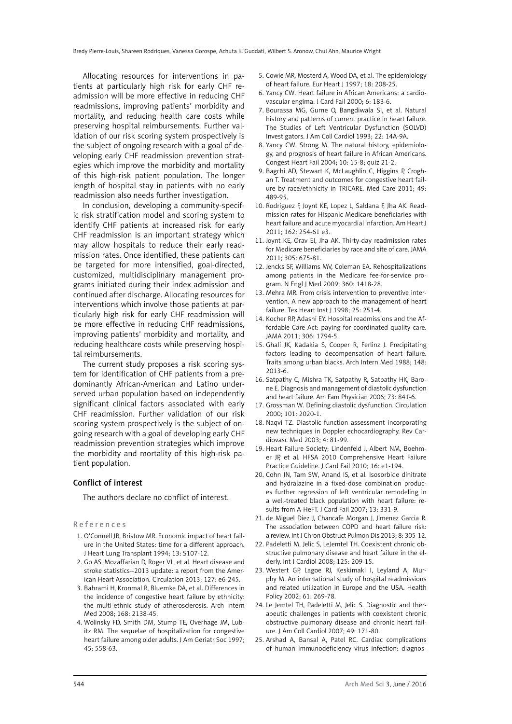Allocating resources for interventions in patients at particularly high risk for early CHF readmission will be more effective in reducing CHF readmissions, improving patients' morbidity and mortality, and reducing health care costs while preserving hospital reimbursements. Further validation of our risk scoring system prospectively is the subject of ongoing research with a goal of developing early CHF readmission prevention strategies which improve the morbidity and mortality of this high-risk patient population. The longer length of hospital stay in patients with no early readmission also needs further investigation.

In conclusion, developing a community-specific risk stratification model and scoring system to identify CHF patients at increased risk for early CHF readmission is an important strategy which may allow hospitals to reduce their early readmission rates. Once identified, these patients can be targeted for more intensified, goal-directed, customized, multidisciplinary management programs initiated during their index admission and continued after discharge. Allocating resources for interventions which involve those patients at particularly high risk for early CHF readmission will be more effective in reducing CHF readmissions, improving patients' morbidity and mortality, and reducing healthcare costs while preserving hospital reimbursements.

The current study proposes a risk scoring system for identification of CHF patients from a predominantly African-American and Latino underserved urban population based on independently significant clinical factors associated with early CHF readmission. Further validation of our risk scoring system prospectively is the subject of ongoing research with a goal of developing early CHF readmission prevention strategies which improve the morbidity and mortality of this high-risk patient population.

#### Conflict of interest

The authors declare no conflict of interest.

#### References

- 1. O'Connell JB, Bristow MR. Economic impact of heart failure in the United States: time for a different approach. J Heart Lung Transplant 1994; 13: S107-12.
- 2. Go AS, Mozaffarian D, Roger VL, et al. Heart disease and stroke statistics--2013 update: a report from the American Heart Association. Circulation 2013; 127: e6-245.
- 3. Bahrami H, Kronmal R, Bluemke DA, et al. Differences in the incidence of congestive heart failure by ethnicity: the multi-ethnic study of atherosclerosis. Arch Intern Med 2008; 168: 2138-45.
- 4. Wolinsky FD, Smith DM, Stump TE, Overhage JM, Lubitz RM. The sequelae of hospitalization for congestive heart failure among older adults. J Am Geriatr Soc 1997; 45: 558-63.
- 5. Cowie MR, Mosterd A, Wood DA, et al. The epidemiology of heart failure. Eur Heart J 1997; 18: 208-25.
- 6. Yancy CW. Heart failure in African Americans: a cardiovascular engima. J Card Fail 2000; 6: 183-6.
- 7. Bourassa MG, Gurne O, Bangdiwala SI, et al. Natural history and patterns of current practice in heart failure. The Studies of Left Ventricular Dysfunction (SOLVD) Investigators. J Am Coll Cardiol 1993; 22: 14A-9A.
- 8. Yancy CW, Strong M. The natural history, epidemiology, and prognosis of heart failure in African Americans. Congest Heart Fail 2004; 10: 15-8; quiz 21-2.
- 9. Bagchi AD, Stewart K, McLaughlin C, Higgins P, Croghan T. Treatment and outcomes for congestive heart failure by race/ethnicity in TRICARE. Med Care 2011; 49: 489-95.
- 10. Rodriguez F, Joynt KE, Lopez L, Saldana F, Jha AK. Readmission rates for Hispanic Medicare beneficiaries with heart failure and acute myocardial infarction. Am Heart J 2011; 162: 254-61 e3.
- 11. Joynt KE, Orav EJ, Jha AK. Thirty-day readmission rates for Medicare beneficiaries by race and site of care. JAMA 2011; 305: 675-81.
- 12. Jencks SF, Williams MV, Coleman EA. Rehospitalizations among patients in the Medicare fee-for-service program. N Engl J Med 2009; 360: 1418-28.
- 13. Mehra MR. From crisis intervention to preventive intervention. A new approach to the management of heart failure. Tex Heart Inst J 1998; 25: 251-4.
- 14. Kocher RP, Adashi EY. Hospital readmissions and the Affordable Care Act: paying for coordinated quality care. JAMA 2011; 306: 1794-5.
- 15. Ghali JK, Kadakia S, Cooper R, Ferlinz J. Precipitating factors leading to decompensation of heart failure. Traits among urban blacks. Arch Intern Med 1988; 148: 2013-6.
- 16. Satpathy C, Mishra TK, Satpathy R, Satpathy HK, Barone E. Diagnosis and management of diastolic dysfunction and heart failure. Am Fam Physician 2006; 73: 841-6.
- 17. Grossman W. Defining diastolic dysfunction. Circulation 2000; 101: 2020-1.
- 18. Naqvi TZ. Diastolic function assessment incorporating new techniques in Doppler echocardiography. Rev Cardiovasc Med 2003; 4: 81-99.
- 19. Heart Failure Society; Lindenfeld J, Albert NM, Boehmer JP, et al. HFSA 2010 Comprehensive Heart Failure Practice Guideline. J Card Fail 2010; 16: e1-194.
- 20. Cohn JN, Tam SW, Anand IS, et al. Isosorbide dinitrate and hydralazine in a fixed-dose combination produces further regression of left ventricular remodeling in a well-treated black population with heart failure: results from A-HeFT. J Card Fail 2007; 13: 331-9.
- 21. de Miguel Diez J, Chancafe Morgan J, Jimenez Garcia R. The association between COPD and heart failure risk: a review. Int J Chron Obstruct Pulmon Dis 2013; 8: 305-12.
- 22. Padeletti M, Jelic S, LeJemtel TH. Coexistent chronic obstructive pulmonary disease and heart failure in the elderly. Int J Cardiol 2008; 125: 209-15.
- 23. Westert GP, Lagoe RJ, Keskimaki I, Leyland A, Murphy M. An international study of hospital readmissions and related utilization in Europe and the USA. Health Policy 2002; 61: 269-78.
- 24. Le Jemtel TH, Padeletti M, Jelic S. Diagnostic and therapeutic challenges in patients with coexistent chronic obstructive pulmonary disease and chronic heart failure. J Am Coll Cardiol 2007; 49: 171-80.
- 25. Arshad A, Bansal A, Patel RC. Cardiac complications of human immunodeficiency virus infection: diagnos-